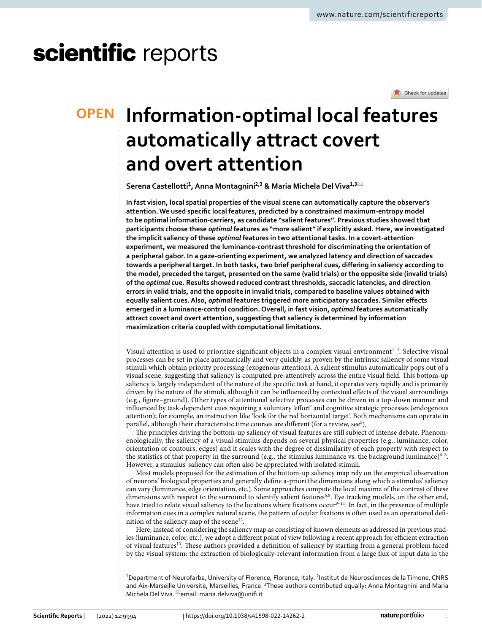# scientific reports

Check for updates

## **Information‑optimal local features OPEN automatically attract covert and overt attention**

 $\sf{Serena\, Castellotti<sup>1</sup>, Anna Montagnini<sup>2,3</sup> & Maria Michaela Del Viva<sup>1,3</sup>$ 

**In fast vision, local spatial properties of the visual scene can automatically capture the observer's attention. We used specifc local features, predicted by a constrained maximum-entropy model to be optimal information-carriers, as candidate "salient features''. Previous studies showed that participants choose these** *optimal* **features as "more salient" if explicitly asked. Here, we investigated the implicit saliency of these** *optimal* **features in two attentional tasks. In a covert-attention experiment, we measured the luminance-contrast threshold for discriminating the orientation of a peripheral gabor. In a gaze-orienting experiment, we analyzed latency and direction of saccades towards a peripheral target. In both tasks, two brief peripheral cues, difering in saliency according to the model, preceded the target, presented on the same (valid trials) or the opposite side (invalid trials) of the** *optimal* **cue. Results showed reduced contrast thresholds, saccadic latencies, and direction errors in valid trials, and the opposite in invalid trials, compared to baseline values obtained with equally salient cues. Also,** *optimal* **features triggered more anticipatory saccades. Similar efects emerged in a luminance-control condition. Overall, in fast vision,** *optimal* **features automatically attract covert and overt attention, suggesting that saliency is determined by information maximization criteria coupled with computational limitations.**

Visual attention is used to prioritize significant objects in a complex visual environment<sup>1-4</sup>. Selective visual processes can be set in place automatically and very quickly, as proven by the intrinsic saliency of some visual stimuli which obtain priority processing (exogenous attention). A salient stimulus automatically pops out of a visual scene, suggesting that saliency is computed pre-attentively across the entire visual feld. Tis bottom-up saliency is largely independent of the nature of the specifc task at hand, it operates very rapidly and is primarily driven by the nature of the stimuli, although it can be infuenced by contextual efects of the visual surroundings (e.g., fgure–ground). Other types of attentional selective processes can be driven in a top-down manner and infuenced by task-dependent cues requiring a voluntary 'efort' and cognitive strategic processes (endogenous attention); for example, an instruction like 'look for the red horizontal target'. Both mechanisms can operate in parallel, although their characteristic time courses are different (for a review, see<sup>[5](#page-10-2)</sup>).

The principles driving the bottom-up saliency of visual features are still subject of intense debate. Phenomenologically, the saliency of a visual stimulus depends on several physical properties (e.g., luminance, color, orientation of contours, edges) and it scales with the degree of dissimilarity of each property with respect to the statistics of that property in the surround (e.g., the stimulus luminance vs. the background luminance)<sup>6-8</sup>. However, a stimulus' saliency can often also be appreciated with isolated stimuli.

Most models proposed for the estimation of the bottom-up saliency map rely on the empirical observation of neurons' biological properties and generally defne a-priori the dimensions along which a stimulus' saliency can vary (luminance, edge orientation, etc.). Some approaches compute the local maxima of the contrast of these dimensions with respect to the surround to identify salient features<sup>6[,8](#page-10-4)</sup>. Eye tracking models, on the other end, have tried to relate visual saliency to the locations where fixations occur<sup>[9–](#page-10-5)[11](#page-10-6)</sup>. In fact, in the presence of multiple information cues in a complex natural scene, the pattern of ocular fxations is ofen used as an operational defnition of the saliency map of the scene<sup>12</sup>.

Here, instead of considering the saliency map as consisting of known elements as addressed in previous studies (luminance, color, etc.), we adopt a different point of view following a recent approach for efficient extraction of visual features<sup>13</sup>. These authors provided a definition of saliency by starting from a general problem faced by the visual system: the extraction of biologically-relevant information from a large fux of input data in the

<sup>1</sup>Department of Neurofarba, University of Florence, Florence, Italy. <sup>2</sup>Institut de Neurosciences de la Timone, CNRS and Aix-Marseille Universitè, Marseilles, France. 3These authors contributed equally: Anna Montagnini and Maria Michela Del Viva. <sup>⊠</sup>email: maria.delviva@unifi.it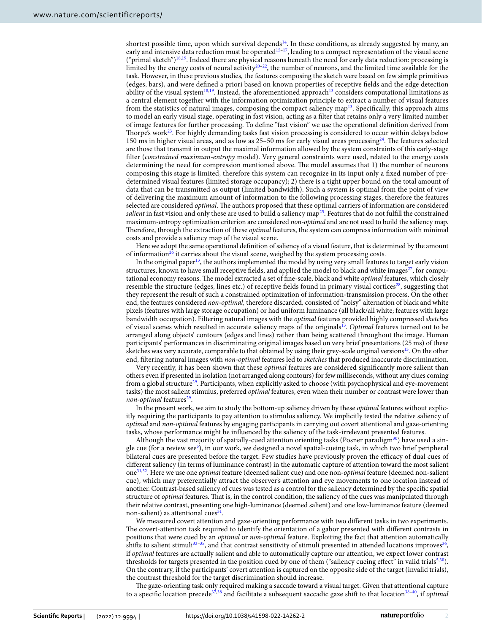shortest possible time, upon which survival depends<sup>[14](#page-10-9)</sup>. In these conditions, as already suggested by many, an early and intensive data reduction must be operated<sup>[15–](#page-10-10)[17](#page-10-11)</sup>, leading to a compact representation of the visual scene ("primal sketch")[18](#page-10-12),[19](#page-10-13). Indeed there are physical reasons beneath the need for early data reduction: processing is limited by the energy costs of neural activity<sup>[20](#page-10-14)-22</sup>, the number of neurons, and the limited time available for the task. However, in these previous studies, the features composing the sketch were based on few simple primitives (edges, bars), and were defned a priori based on known properties of receptive felds and the edge detection ability of the visual system $18,19$  $18,19$  $18,19$ . Instead, the aforementioned approach<sup>13</sup> considers computational limitations as a central element together with the information optimization principle to extract a number of visual features from the statistics of natural images, composing the compact saliency map<sup>13</sup>. Specifically, this approach aims to model an early visual stage, operating in fast vision, acting as a flter that retains only a very limited number of image features for further processing. To defne "fast vision" we use the operational defnition derived from Thorpe's work<sup>23</sup>. For highly demanding tasks fast vision processing is considered to occur within delays below 150 ms in higher visual areas, and as low as 25–50 ms for early visual areas processing $^{24}$ . The features selected are those that transmit in output the maximal information allowed by the system constraints of this early-stage flter (*constrained maximum-entropy* model). Very general constraints were used, related to the energy costs determining the need for compression mentioned above. The model assumes that 1) the number of neurons composing this stage is limited, therefore this system can recognize in its input only a fxed number of predetermined visual features (limited storage occupancy); 2) there is a tight upper bound on the total amount of data that can be transmitted as output (limited bandwidth). Such a system is optimal from the point of view of delivering the maximum amount of information to the following processing stages, therefore the features selected are considered *optimal*. The authors proposed that these optimal carriers of information are considered *salient* in fast vision and only these are used to build a saliency map<sup>[25](#page-10-18)</sup>. Features that do not fulfill the constrained maximum-entropy optimization criterion are considered *non-optimal* and are not used to build the saliency map. Terefore, through the extraction of these *optimal* features, the system can compress information with minimal costs and provide a saliency map of the visual scene.

Here we adopt the same operational defnition of saliency of a visual feature, that is determined by the amount of information<sup>26</sup> it carries about the visual scene, weighed by the system processing costs.

In the original paper<sup>[13](#page-10-8)</sup>, the authors implemented the model by using very small features to target early vision structures, known to have small receptive fields, and applied the model to black and white images<sup>27</sup>, for computational economy reasons. The model extracted a set of fine-scale, black and white *optimal* features, which closely resemble the structure (edges, lines etc.) of receptive fields found in primary visual cortices<sup>28</sup>, suggesting that they represent the result of such a constrained optimization of information-transmission process. On the other end, the features considered *non-optimal,* therefore discarded*,* consisted of "noisy" alternation of black and white pixels (features with large storage occupation) or had uniform luminance (all black/all white; features with large bandwidth occupation). Filtering natural images with the *optimal* features provided highly compressed *sketches* of visual scenes which resulted in accurate saliency maps of the originals[13](#page-10-8). *Optimal* features turned out to be arranged along objects' contours (edges and lines) rather than being scattered throughout the image. Human participants' performances in discriminating original images based on very brief presentations (25 ms) of these sketches was very accurate, comparable to that obtained by using their grey-scale original versions<sup>13</sup>. On the other end, fltering natural images with *non-optimal* features led to *sketches* that produced inaccurate discrimination.

Very recently, it has been shown that these *optimal* features are considered signifcantly more salient than others even if presented in isolation (not arranged along contours) for few milliseconds, without any clues coming from a global structure<sup>[29](#page-10-22)</sup>. Participants, when explicitly asked to choose (with psychophysical and eye-movement tasks) the most salient stimulus, preferred *optimal* features, even when their number or contrast were lower than *non-optimal* features<sup>29</sup>.

In the present work, we aim to study the bottom-up saliency driven by these *optimal* features without explicitly requiring the participants to pay attention to stimulus saliency. We implicitly tested the relative saliency of *optimal* and *non-optimal* features by engaging participants in carrying out covert attentional and gaze-orienting tasks, whose performance might be infuenced by the saliency of the task-irrelevant presented features.

Although the vast majority of spatially-cued attention orienting tasks (Posner paradigm $30$ ) have used a sin-gle cue (for a review see<sup>[5](#page-10-2)</sup>), in our work, we designed a novel spatial-cueing task, in which two brief peripheral bilateral cues are presented before the target. Few studies have previously proven the efficacy of dual cues of diferent saliency (in terms of luminance contrast) in the automatic capture of attention toward the most salient on[e31,](#page-10-24)[32.](#page-10-25) Here we use one *optimal* feature (deemed salient cue) and one non-*optimal* feature (deemed non-salient cue), which may preferentially attract the observer's attention and eye movements to one location instead of another. Contrast-based saliency of cues was tested as a control for the saliency determined by the specifc spatial structure of *optimal* features. Tat is, in the control condition, the saliency of the cues was manipulated through their relative contrast, presenting one high-luminance (deemed salient) and one low-luminance feature (deemed non-salient) as attentional cues $31$ .

We measured covert attention and gaze-orienting performance with two diferent tasks in two experiments. The covert-attention task required to identify the orientation of a gabor presented with different contrasts in positions that were cued by an *optimal* or *non-optimal* feature. Exploiting the fact that attention automatically shifts to salient stimuli<sup>33–35</sup>, and that contrast sensitivity of stimuli presented in attended locations improves<sup>36</sup>, if *optimal* features are actually salient and able to automatically capture our attention, we expect lower contrast thresholds for targets presented in the position cued by one of them ("saliency cueing effect" in valid trials $5,30$ ). On the contrary, if the participants' covert attention is captured on the opposite side of the target (invalid trials), the contrast threshold for the target discrimination should increase.

The gaze-orienting task only required making a saccade toward a visual target. Given that attentional capture to a specific location precede<sup>[37](#page-10-29),[38](#page-10-30)</sup> and facilitate a subsequent saccadic gaze shift to that location<sup>38–40</sup>, if *optimal* 

2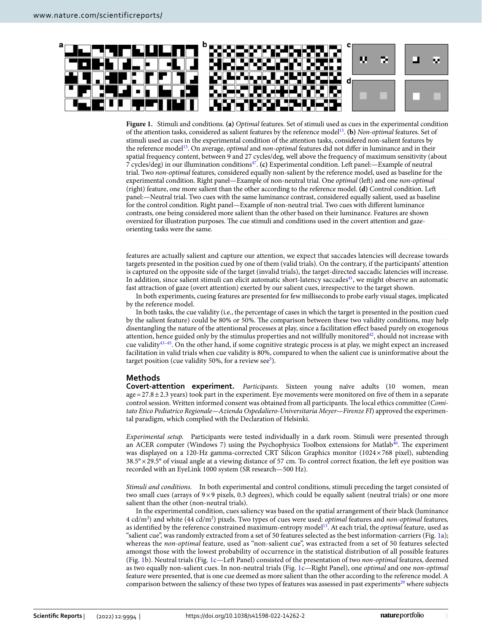

<span id="page-2-0"></span>**Figure 1.** Stimuli and conditions. **(a)** *Optimal* features. Set of stimuli used as cues in the experimental condition of the attention tasks, considered as salient features by the reference mode[l13.](#page-10-8) **(b)** *Non-optimal* features. Set of stimuli used as cues in the experimental condition of the attention tasks, considered non-salient features by the reference mode[l13.](#page-10-8) On average, *optimal* and *non-optimal* features did not difer in luminance and in their spatial frequency content, between 9 and 27 cycles/deg, well above the frequency of maximum sensitivity (about 7 cycles/deg) in our illumination condition[s47.](#page-11-4) **(c)** Experimental condition. Lef panel:—Example of neutral trial. Two *non-optimal* features, considered equally non-salient by the reference model, used as baseline for the experimental condition. Right panel—Example of non-neutral trial. One *optimal* (left) and one *non-optimal* (right) feature, one more salient than the other according to the reference model. **(d)** Control condition. Lef panel:—Neutral trial. Two cues with the same luminance contrast, considered equally salient, used as baseline for the control condition. Right panel—Example of non-neutral trial. Two cues with diferent luminance contrasts, one being considered more salient than the other based on their luminance. Features are shown oversized for illustration purposes. The cue stimuli and conditions used in the covert attention and gazeorienting tasks were the same.

features are actually salient and capture our attention, we expect that saccades latencies will decrease towards targets presented in the position cued by one of them (valid trials). On the contrary, if the participants' attention is captured on the opposite side of the target (invalid trials), the target-directed saccadic latencies will increase. In addition, since salient stimuli can elicit automatic short-latency saccades<sup>41</sup>, we might observe an automatic fast attraction of gaze (overt attention) exerted by our salient cues, irrespective to the target shown.

In both experiments, cueing features are presented for few milliseconds to probe early visual stages, implicated by the reference model.

In both tasks, the cue validity (i.e., the percentage of cases in which the target is presented in the position cued by the salient feature) could be 80% or 50%. The comparison between these two validity conditions, may help disentangling the nature of the attentional processes at play, since a facilitation efect based purely on exogenous attention, hence guided only by the stimulus properties and not willfully monitored<sup>42</sup>, should not increase with cue validity[43](#page-11-1)[–45](#page-11-2). On the other hand, if some cognitive strategic process is at play, we might expect an increased facilitation in valid trials when cue validity is 80%, compared to when the salient cue is uninformative about the target position (cue validity [5](#page-10-2)0%, for a review see<sup>5</sup>).

#### **Methods**

**Covert‑attention experiment.** *Participants.* Sixteen young naïve adults (10 women, mean  $age = 27.8 \pm 2.3$  years) took part in the experiment. Eye movements were monitored on five of them in a separate control session. Written informed consent was obtained from all participants. The local ethics committee (*Comitato Etico Pediatrico Regionale—Azienda Ospedaliero-Universitaria Meyer—Firenze FI*) approved the experimental paradigm, which complied with the Declaration of Helsinki.

*Experimental setup.* Participants were tested individually in a dark room. Stimuli were presented through an ACER computer (Windows 7) using the Psychophysics Toolbox extensions for Matlab<sup>[46](#page-11-3)</sup>. The experiment was displayed on a 120-Hz gamma-corrected CRT Silicon Graphics monitor (1024×768 pixel), subtending  $38.5^{\circ} \times 29.5^{\circ}$  of visual angle at a viewing distance of 57 cm. To control correct fixation, the left eye position was recorded with an EyeLink 1000 system (SR research—500 Hz).

*Stimuli and conditions.* In both experimental and control conditions, stimuli preceding the target consisted of two small cues (arrays of 9×9 pixels, 0.3 degrees), which could be equally salient (neutral trials) or one more salient than the other (non-neutral trials).

In the experimental condition, cues saliency was based on the spatial arrangement of their black (luminance 4 cd/m<sup>2</sup>) and white (44 cd/m<sup>2</sup>) pixels. Two types of cues were used: *optimal features and non-optimal features*, as identifed by the reference constrained maximum-entropy mode[l13.](#page-10-8) At each trial, the *optimal* feature, used as "salient cue", was randomly extracted from a set of 50 features selected as the best information-carriers (Fig. [1](#page-2-0)a); whereas the *non-optimal* feature, used as "non-salient cue", was extracted from a set of 50 features selected amongst those with the lowest probability of occurrence in the statistical distribution of all possible features (Fig. [1b](#page-2-0)). Neutral trials (Fig. [1c](#page-2-0)—Lef Panel) consisted of the presentation of two *non-optimal* features, deemed as two equally non-salient cues. In non-neutral trials (Fig. [1c](#page-2-0)—Right Panel), one *optimal* and one *non-optimal* feature were presented, that is one cue deemed as more salient than the other according to the reference model. A comparison between the saliency of these two types of features was assessed in past experiments<sup>[29](#page-10-22)</sup> where subjects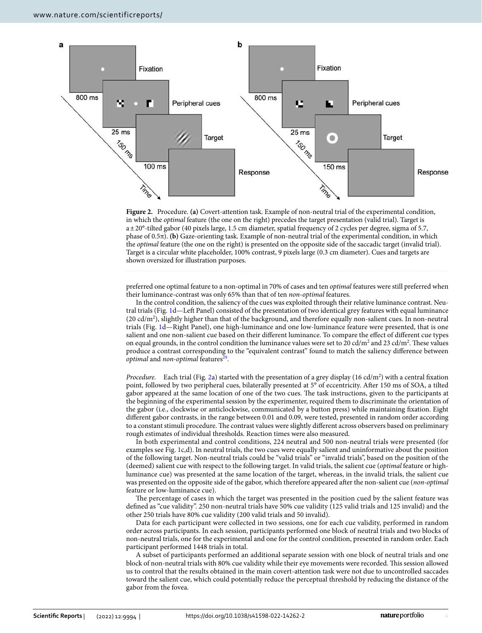

<span id="page-3-0"></span>**Figure 2.** Procedure. **(a)** Covert-attention task. Example of non-neutral trial of the experimental condition, in which the *optimal* feature (the one on the right) precedes the target presentation (valid trial). Target is a±20°-tilted gabor (40 pixels large, 1.5 cm diameter, spatial frequency of 2 cycles per degree, sigma of 5.7, phase of 0.5π). **(b)** Gaze-orienting task. Example of non-neutral trial of the experimental condition, in which the *optimal* feature (the one on the right) is presented on the opposite side of the saccadic target (invalid trial). Target is a circular white placeholder, 100% contrast, 9 pixels large (0.3 cm diameter). Cues and targets are shown oversized for illustration purposes.

preferred one optimal feature to a non-optimal in 70% of cases and ten *optimal* features were still preferred when their luminance-contrast was only 65% than that of ten *non-optimal* features.

In the control condition, the saliency of the cues was exploited through their relative luminance contrast. Neu-tral trials (Fig. [1](#page-2-0)d—Left Panel) consisted of the presentation of two identical grey features with equal luminance (20 cd/m2 ), slightly higher than that of the background, and therefore equally non-salient cues. In non-neutral trials (Fig. [1](#page-2-0)d—Right Panel), one high-luminance and one low-luminance feature were presented, that is one salient and one non-salient cue based on their diferent luminance. To compare the efect of diferent cue types on equal grounds, in the control condition the luminance values were set to 20  $cd/m^2$  and 23  $cd/m^2$ . These values produce a contrast corresponding to the "equivalent contrast" found to match the saliency diference between *optimal* and *non-optimal* features<sup>29</sup>.

Procedure. Each trial (Fig. [2a](#page-3-0)) started with the presentation of a grey display (16 cd/m<sup>2</sup>) with a central fixation point, followed by two peripheral cues, bilaterally presented at 5° of eccentricity. Afer 150 ms of SOA, a tilted gabor appeared at the same location of one of the two cues. The task instructions, given to the participants at the beginning of the experimental session by the experimenter, required them to discriminate the orientation of the gabor (i.e., clockwise or anticlockwise, communicated by a button press) while maintaining fxation. Eight diferent gabor contrasts, in the range between 0.01 and 0.09, were tested, presented in random order according to a constant stimuli procedure. The contrast values were slightly different across observers based on preliminary rough estimates of individual thresholds. Reaction times were also measured.

In both experimental and control conditions, 224 neutral and 500 non-neutral trials were presented (for examples see Fig. [1c](#page-2-0),d). In neutral trials, the two cues were equally salient and uninformative about the position of the following target. Non-neutral trials could be "valid trials" or "invalid trials", based on the position of the (deemed) salient cue with respect to the following target. In valid trials, the salient cue (*optimal* feature or highluminance cue) was presented at the same location of the target, whereas, in the invalid trials, the salient cue was presented on the opposite side of the gabor, which therefore appeared afer the non-salient cue (*non-optimal* feature or low-luminance cue).

The percentage of cases in which the target was presented in the position cued by the salient feature was defned as "cue validity". 250 non-neutral trials have 50% cue validity (125 valid trials and 125 invalid) and the other 250 trials have 80% cue validity (200 valid trials and 50 invalid).

Data for each participant were collected in two sessions, one for each cue validity, performed in random order across participants. In each session, participants performed one block of neutral trials and two blocks of non-neutral trials, one for the experimental and one for the control condition, presented in random order. Each participant performed 1448 trials in total.

A subset of participants performed an additional separate session with one block of neutral trials and one block of non-neutral trials with 80% cue validity while their eye movements were recorded. Tis session allowed us to control that the results obtained in the main covert-attention task were not due to uncontrolled saccades toward the salient cue, which could potentially reduce the perceptual threshold by reducing the distance of the gabor from the fovea.

4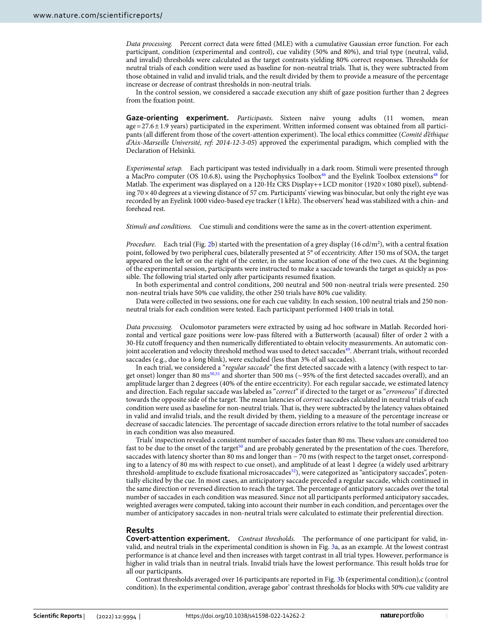*Data processing.* Percent correct data were ftted (MLE) with a cumulative Gaussian error function. For each participant, condition (experimental and control), cue validity (50% and 80%), and trial type (neutral, valid, and invalid) thresholds were calculated as the target contrasts yielding 80% correct responses. Thresholds for neutral trials of each condition were used as baseline for non-neutral trials. Tat is, they were subtracted from those obtained in valid and invalid trials, and the result divided by them to provide a measure of the percentage increase or decrease of contrast thresholds in non-neutral trials.

In the control session, we considered a saccade execution any shif of gaze position further than 2 degrees from the fxation point.

**Gaze‑orienting experiment.** *Participants.* Sixteen naïve young adults (11 women, mean age=27.6±1.9 years) participated in the experiment. Written informed consent was obtained from all participants (all diferent from those of the covert-attention experiment). Te local ethics committee (*Comité d'éthique d'Aix-Marseille Université, ref: 2014-12-3-05*) approved the experimental paradigm, which complied with the Declaration of Helsinki.

*Experimental setup.* Each participant was tested individually in a dark room. Stimuli were presented through a MacPro computer (OS 10.6.8), using the Psychophysics Toolbox<sup>46</sup> and the Eyelink Toolbox extensions<sup>48</sup> for Matlab. The experiment was displayed on a 120-Hz CRS Display++LCD monitor (1920×1080 pixel), subtending 70×40 degrees at a viewing distance of 57 cm. Participants' viewing was binocular, but only the right eye was recorded by an Eyelink 1000 video-based eye tracker (1 kHz). Te observers' head was stabilized with a chin- and forehead rest.

*Stimuli and conditions.* Cue stimuli and conditions were the same as in the covert-attention experiment.

Procedure. Each trial (Fig. [2](#page-3-0)b) started with the presentation of a grey display (16 cd/m<sup>2</sup>), with a central fixation point, followed by two peripheral cues, bilaterally presented at 5° of eccentricity. Afer 150 ms of SOA, the target appeared on the left or on the right of the center, in the same location of one of the two cues. At the beginning of the experimental session, participants were instructed to make a saccade towards the target as quickly as possible. The following trial started only after participants resumed fixation.

In both experimental and control conditions, 200 neutral and 500 non-neutral trials were presented. 250 non-neutral trials have 50% cue validity, the other 250 trials have 80% cue validity.

Data were collected in two sessions, one for each cue validity. In each session, 100 neutral trials and 250 nonneutral trials for each condition were tested. Each participant performed 1400 trials in total.

*Data processing.* Oculomotor parameters were extracted by using ad hoc sofware in Matlab. Recorded horizontal and vertical gaze positions were low-pass fltered with a Butterworth (acausal) flter of order 2 with a 30-Hz cutof frequency and then numerically diferentiated to obtain velocity measurements. An automatic con-joint acceleration and velocity threshold method was used to detect saccades<sup>[49](#page-11-6)</sup>. Aberrant trials, without recorded saccades (e.g., due to a long blink), were excluded (less than 3% of all saccades).

In each trial, we considered a "*regular saccade*" the frst detected saccade with a latency (with respect to target onset) longer than 80 ms<sup>50,51</sup> and shorter than 500 ms ( $\sim$  95% of the first detected saccades overall), and an amplitude larger than 2 degrees (40% of the entire eccentricity). For each regular saccade, we estimated latency and direction. Each regular saccade was labeled as "*correct*" if directed to the target or as "*erroneous*" if directed towards the opposite side of the target. The mean latencies of *correct* saccades calculated in neutral trials of each condition were used as baseline for non-neutral trials. Tat is, they were subtracted by the latency values obtained in valid and invalid trials, and the result divided by them, yielding to a measure of the percentage increase or decrease of saccadic latencies. The percentage of saccade direction errors relative to the total number of saccades in each condition was also measured.

Trials' inspection revealed a consistent number of saccades faster than 80 ms. These values are considered too fast to be due to the onset of the target<sup>[50](#page-11-7)</sup> and are probably generated by the presentation of the cues. Therefore, saccades with latency shorter than 80 ms and longer than −70 ms (with respect to the target onset, corresponding to a latency of 80 ms with respect to cue onset), and amplitude of at least 1 degree (a widely used arbitrary threshold-amplitude to exclude fixational microsaccades<sup>[52](#page-11-9)</sup>), were categorized as "anticipatory saccades", potentially elicited by the cue. In most cases, an anticipatory saccade preceded a regular saccade, which continued in the same direction or reversed direction to reach the target. The percentage of anticipatory saccades over the total number of saccades in each condition was measured. Since not all participants performed anticipatory saccades, weighted averages were computed, taking into account their number in each condition, and percentages over the number of anticipatory saccades in non-neutral trials were calculated to estimate their preferential direction.

#### **Results**

**Covert-attention experiment.** *Contrast thresholds*. The performance of one participant for valid, invalid, and neutral trials in the experimental condition is shown in Fig. [3a](#page-5-0), as an example. At the lowest contrast performance is at chance level and then increases with target contrast in all trial types. However, performance is higher in valid trials than in neutral trials. Invalid trials have the lowest performance. Tis result holds true for all our participants.

Contrast thresholds averaged over 16 participants are reported in Fig. [3b](#page-5-0) **(**experimental condition),c (control condition). In the experimental condition, average gabor' contrast thresholds for blocks with 50% cue validity are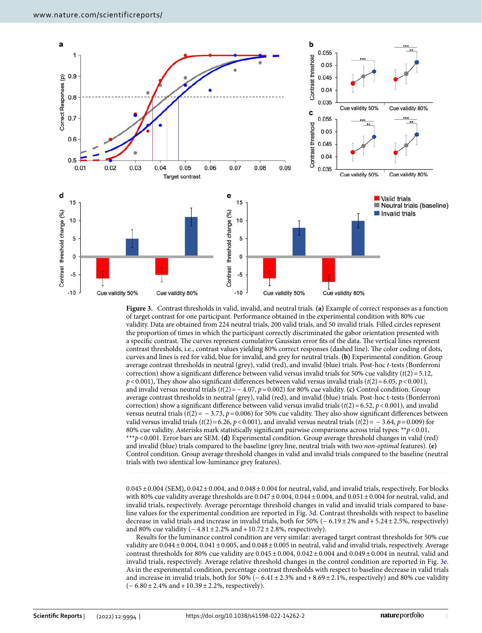

<span id="page-5-0"></span>**Figure 3.** Contrast thresholds in valid, invalid, and neutral trials. **(a)** Example of correct responses as a function of target contrast for one participant. Performance obtained in the experimental condition with 80% cue validity. Data are obtained from 224 neutral trials, 200 valid trials, and 50 invalid trials. Filled circles represent the proportion of times in which the participant correctly discriminated the gabor orientation presented with a specific contrast. The curves represent cumulative Gaussian error fits of the data. The vertical lines represent contrast thresholds, i.e., contrast values yielding 80% correct responses (dashed line). The color coding of dots, curves and lines is red for valid, blue for invalid, and grey for neutral trials. **(b)** Experimental condition. Group average contrast thresholds in neutral (grey), valid (red), and invalid (blue) trials. Post-hoc *t*-tests (Bonferroni correction) show a significant difference between valid versus invalid trials for 50% cue validity  $(t(2)=5.12)$ ,  $p$ <0.001), They show also significant differences between valid versus invalid trials ( $t$ (2)=6.05,  $p$ <0.001), and invalid versus neutral trials (*t*(2)=− 4.07, *p*=0.002) for 80% cue validity. **(c)** Control condition. Group average contrast thresholds in neutral (grey), valid (red), and invalid (blue) trials. Post-hoc t-tests (Bonferroni correction) show a significant difference between valid versus invalid trials ( $t(2)$  = 6.52,  $p$  < 0.001), and invalid versus neutral trials ( $t(2) = -3.73$ ,  $p = 0.006$ ) for 50% cue validity. They also show significant differences between valid versus invalid trials ( $t(2) = 6.26$ ,  $p < 0.001$ ), and invalid versus neutral trials ( $t(2) = -3.64$ ,  $p = 0.009$ ) for 80% cue validity. Asterisks mark statistically signifcant pairwise comparisons across trial types: \*\**p*<0.01, \*\*\**p*<0.001. Error bars are SEM. **(d)** Experimental condition. Group average threshold changes in valid (red) and invalid (blue) trials compared to the baseline (grey line, neutral trials with two *non-optimal* features). **(e)** Control condition. Group average threshold changes in valid and invalid trials compared to the baseline (neutral trials with two identical low-luminance grey features).

 $0.045 \pm 0.004$  (SEM),  $0.042 \pm 0.004$ , and  $0.048 \pm 0.004$  for neutral, valid, and invalid trials, respectively. For blocks with 80% cue validity average thresholds are  $0.047 \pm 0.004$ ,  $0.044 \pm 0.004$ , and  $0.051 \pm 0.004$  for neutral, valid, and invalid trials, respectively. Average percentage threshold changes in valid and invalid trials compared to baseline values for the experimental condition are reported in Fig. [3](#page-5-0)d. Contrast thresholds with respect to baseline decrease in valid trials and increase in invalid trials, both for 50% (− 6.19±2% and+5.24±2.5%, respectively) and 80% cue validity  $(-4.81 \pm 2.2\% \text{ and } +10.72 \pm 2.8\% \text{, respectively}).$ 

Results for the luminance control condition are very similar: averaged target contrast thresholds for 50% cue validity are  $0.044 \pm 0.004$ ,  $0.041 \pm 0.005$ , and  $0.048 \pm 0.005$  in neutral, valid and invalid trials, respectively. Average contrast thresholds for 80% cue validity are 0.045 $\pm$ 0.004, 0.042 $\pm$ 0.004 and 0.049 $\pm$ 0.004 in neutral, valid and invalid trials, respectively. Average relative threshold changes in the control condition are reported in Fig. [3](#page-5-0)e. As in the experimental condition, percentage contrast thresholds with respect to baseline decrease in valid trials and increase in invalid trials, both for 50% (− 6.41±2.3% and+8.69±2.1%, respectively) and 80% cue validity (− 6.80±2.4% and+10.39±2.2%, respectively).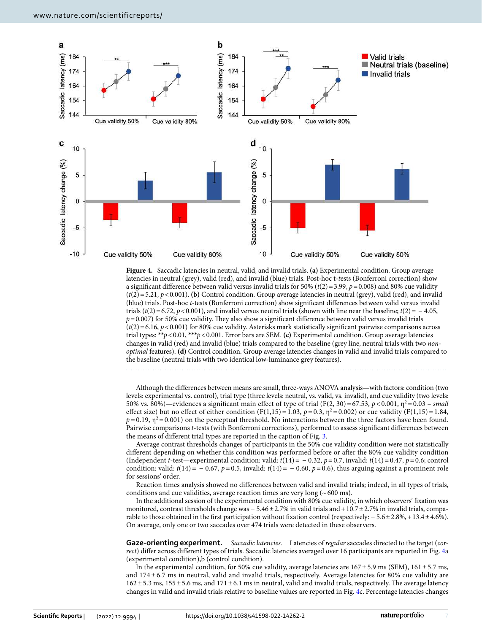

<span id="page-6-0"></span>**Figure 4.** Saccadic latencies in neutral, valid, and invalid trials. **(a)** Experimental condition. Group average latencies in neutral (grey), valid (red), and invalid (blue) trials. Post-hoc t-*t*ests (Bonferroni correction) show a signifcant diference between valid versus invalid trials for 50% (*t*(2)=3.99, *p*=0.008) and 80% cue validity  $(t(2)=5.21, p<0.001)$ . **(b)** Control condition. Group average latencies in neutral (grey), valid (red), and invalid (blue) trials. Post-hoc *t*-tests (Bonferroni correction) show signifcant diferences between valid versus invalid trials ( $t(2)$ =6.72,  $p$ <0.001), and invalid versus neutral trials (shown with line near the baseline;  $t(2)$ = − 4.05,  $p = 0.007$ ) for 50% cue validity. They also show a significant difference between valid versus invalid trials  $(t(2)=6.16, p<0.001)$  for 80% cue validity. Asterisks mark statistically significant pairwise comparisons across trial types: \*\**p*<0.01, \*\*\**p*<0.001. Error bars are SEM. **(c)** Experimental condition. Group average latencies changes in valid (red) and invalid (blue) trials compared to the baseline (grey line, neutral trials with two *nonoptimal* features). **(d)** Control condition. Group average latencies changes in valid and invalid trials compared to the baseline (neutral trials with two identical low-luminance grey features).

Although the diferences between means are small, three-ways ANOVA analysis—with factors: condition (two levels: experimental vs. control), trial type (three levels: neutral, vs. valid, vs. invalid), and cue validity (two levels: 50% vs. 80%)—evidences a significant main effect of type of trial (F(2, 30)=67.53,  $p < 0.001$ ,  $\eta^2 = 0.03$  – *small* effect size) but no effect of either condition  $(F(1,15) = 1.03, p = 0.3, \eta^2 = 0.002)$  or cue validity  $(F(1,15) = 1.84,$  $p = 0.19$ ,  $\eta^2 = 0.001$ ) on the perceptual threshold. No interactions between the three factors have been found. Pairwise comparisons *t*-tests (with Bonferroni corrections), performed to assess signifcant diferences between the means of diferent trial types are reported in the caption of Fig. [3.](#page-5-0)

Average contrast thresholds changes of participants in the 50% cue validity condition were not statistically diferent depending on whether this condition was performed before or afer the 80% cue validity condition (Independent *t*-test—experimental condition: valid: *t*(14)= − 0.32, *p*=0.7, invalid: *t*(14)=0.47, *p*=0.6; control condition: valid:  $t(14) = -0.67$ ,  $p=0.5$ , invalid:  $t(14) = -0.60$ ,  $p=0.6$ ), thus arguing against a prominent role for sessions' order.

Reaction times analysis showed no diferences between valid and invalid trials; indeed, in all types of trials, conditions and cue validities, average reaction times are very long  $($   $\sim$  600 ms).

In the additional session of the experimental condition with 80% cue validity, in which observers' fxation was monitored, contrast thresholds change was − 5.46 ± 2.7% in valid trials and + 10.7 ± 2.7% in invalid trials, comparable to those obtained in the frst participation without fxation control (respectively: − 5.6±2.8%,+13.4±4.6%). On average, only one or two saccades over 474 trials were detected in these observers.

**Gaze‑orienting experiment.** *Saccadic latencies.* Latencies of *regular* saccades directed to the target (*correct*) difer across diferent types of trials. Saccadic latencies averaged over 16 participants are reported in Fig. [4](#page-6-0)a (experimental condition),b (control condition).

In the experimental condition, for 50% cue validity, average latencies are  $167 \pm 5.9$  ms (SEM),  $161 \pm 5.7$  ms, and 174 ± 6.7 ms in neutral, valid and invalid trials, respectively. Average latencies for 80% cue validity are  $162 \pm 5.3$  ms,  $155 \pm 5.6$  ms, and  $171 \pm 6.1$  ms in neutral, valid and invalid trials, respectively. The average latency changes in valid and invalid trials relative to baseline values are reported in Fig. [4](#page-6-0)c. Percentage latencies changes

7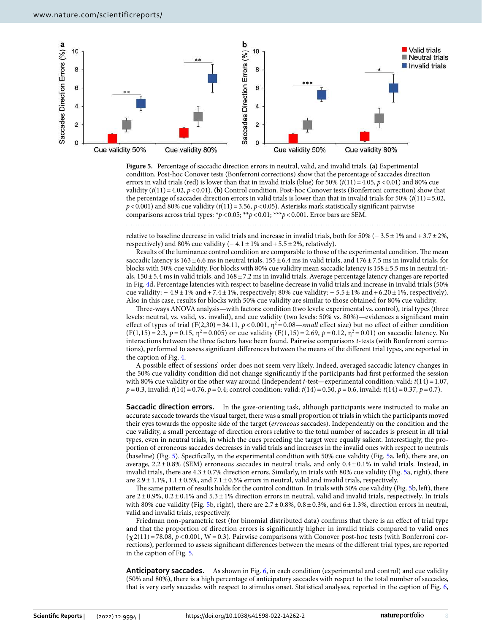

<span id="page-7-0"></span>**Figure 5.** Percentage of saccadic direction errors in neutral, valid, and invalid trials. **(a)** Experimental condition. Post-hoc Conover tests (Bonferroni corrections) show that the percentage of saccades direction errors in valid trials (red) is lower than that in invalid trials (blue) for  $50\%$  ( $t(11)=4.05$ ,  $p<0.01$ ) and 80% cue validity  $(t(11)=4.02, p<0.01)$ . **(b)** Control condition. Post-hoc Conover tests (Bonferroni correction) show that the percentage of saccades direction errors in valid trials is lower than that in invalid trials for 50% (*t*(11)=5.02,  $p$  < 0.001) and 80% cue validity ( $t$ (11) = 3.56,  $p$  < 0.05). Asterisks mark statistically significant pairwise comparisons across trial types: \**p*<0.05; \*\**p*<0.01; \*\*\**p*<0.001. Error bars are SEM.

relative to baseline decrease in valid trials and increase in invalid trials, both for 50% (− 3.5±1% and+3.7±2%, respectively) and 80% cue validity  $(-4.1 \pm 1\% \text{ and } +5.5 \pm 2\% \text{, relatively}).$ 

Results of the luminance control condition are comparable to those of the experimental condition. The mean saccadic latency is  $163 \pm 6.6$  ms in neutral trials,  $155 \pm 6.4$  ms in valid trials, and  $176 \pm 7.5$  ms in invalid trials, for blocks with 50% cue validity. For blocks with 80% cue validity mean saccadic latency is 158±5.5 ms in neutral trials, 150±5.4 ms in valid trials, and 168±7.2 ms in invalid trials. Average percentage latency changes are reported in Fig. [4d](#page-6-0)**.** Percentage latencies with respect to baseline decrease in valid trials and increase in invalid trials (50% cue validity:  $-4.9 \pm 1\%$  and +7.4 $\pm 1\%$ , respectively; 80% cue validity:  $-5.5 \pm 1\%$  and +6.20 $\pm 1\%$ , respectively). Also in this case, results for blocks with 50% cue validity are similar to those obtained for 80% cue validity.

Tree-ways ANOVA analysis—with factors: condition (two levels: experimental vs. control), trial types (three levels: neutral, vs. valid, vs. invalid), and cue validity (two levels: 50% vs. 80%)—evidences a signifcant main effect of types of trial (F(2,30) = 34.11,  $p < 0.001$ ,  $\eta^2 = 0.08$ —*small* effect size) but no effect of either condition  $(F(1,15) = 2.3, p = 0.15, \eta^2 = 0.005)$  or cue validity  $(F(1,15) = 2.69, p = 0.12, \eta^2 = 0.01)$  on saccadic latency. No interactions between the three factors have been found. Pairwise comparisons *t*-tests (with Bonferroni corrections), performed to assess signifcant diferences between the means of the diferent trial types, are reported in the caption of Fig. [4.](#page-6-0)

A possible efect of sessions' order does not seem very likely. Indeed, averaged saccadic latency changes in the 50% cue validity condition did not change signifcantly if the participants had frst performed the session with 80% cue validity or the other way around (Independent *t*-test—experimental condition: valid: *t*(14)=1.07, *p*=0.3, invalid: *t*(14)=0.76, *p*=0.4; control condition: valid: *t*(14)=0.50, *p*=0.6, invalid: *t*(14)=0.37, *p*=0.7).

**Saccadic direction errors.** In the gaze-orienting task, although participants were instructed to make an accurate saccade towards the visual target, there was a small proportion of trials in which the participants moved their eyes towards the opposite side of the target (*erroneous* saccades). Independently on the condition and the cue validity, a small percentage of direction errors relative to the total number of saccades is present in all trial types, even in neutral trials, in which the cues preceding the target were equally salient. Interestingly, the proportion of erroneous saccades decreases in valid trials and increases in the invalid ones with respect to neutrals (baseline) (Fig. [5\)](#page-7-0). Specifcally, in the experimental condition with 50% cue validity (Fig. [5a](#page-7-0), lef), there are, on average, 2.2±0.8% (SEM) erroneous saccades in neutral trials, and only 0.4±0.1% in valid trials. Instead, in invalid trials, there are  $4.3\pm0.7\%$  direction errors. Similarly, in trials with 80% cue validity (Fig. [5](#page-7-0)a, right), there are  $2.9 \pm 1.1$ %,  $1.1 \pm 0.5$ %, and  $7.1 \pm 0.5$ % errors in neutral, valid and invalid trials, respectively.

The same pattern of results holds for the control condition. In trials with [5](#page-7-0)0% cue validity (Fig. 5b, left), there are 2±0.9%, 0.2±0.1% and 5.3±1% direction errors in neutral, valid and invalid trials, respectively. In trials with 80% cue validity (Fig. [5](#page-7-0)b, right), there are  $2.7 \pm 0.8$ %,  $0.8 \pm 0.3$ %, and  $6 \pm 1.3$ %, direction errors in neutral, valid and invalid trials, respectively.

Friedman non-parametric test (for binomial distributed data) confrms that there is an efect of trial type and that the proportion of direction errors is signifcantly higher in invalid trials compared to valid ones  $(\chi 2(11)=78.08, p<0.001, W=0.3)$ . Pairwise comparisons with Conover post-hoc tests (with Bonferroni corrections), performed to assess signifcant diferences between the means of the diferent trial types, are reported in the caption of Fig. [5](#page-7-0).

**Anticipatory saccades.** As shown in Fig. [6](#page-8-0), in each condition (experimental and control) and cue validity (50% and 80%), there is a high percentage of anticipatory saccades with respect to the total number of saccades, that is very early saccades with respect to stimulus onset. Statistical analyses, reported in the caption of Fig. [6](#page-8-0),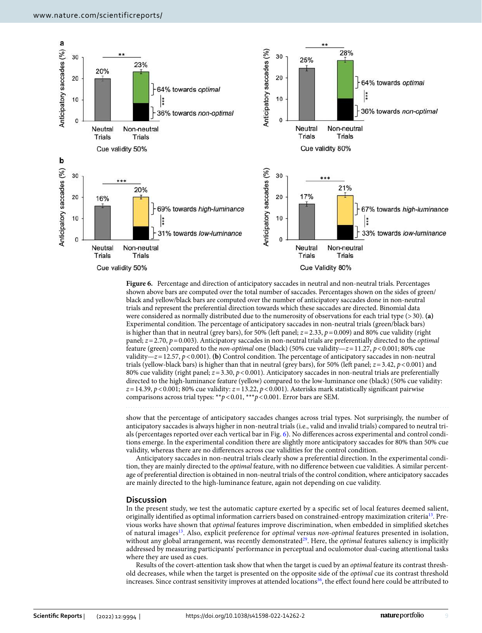

<span id="page-8-0"></span>Figure 6. Percentage and direction of anticipatory saccades in neutral and non-neutral trials. Percentages shown above bars are computed over the total number of saccades. Percentages shown on the sides of green/ black and yellow/black bars are computed over the number of anticipatory saccades done in non-neutral trials and represent the preferential direction towards which these saccades are directed. Binomial data were considered as normally distributed due to the numerosity of observations for each trial type (>30). **(a)** Experimental condition. The percentage of anticipatory saccades in non-neutral trials (green/black bars) is higher than that in neutral (grey bars), for 50% (lef panel; *z*=2.33, *p*=0.009) and 80% cue validity (right panel; *z*=2.70, *p*=0.003). Anticipatory saccades in non-neutral trials are preferentially directed to the *optimal* feature (green) compared to the *non-optimal* one (black) (50% cue validity—*z*=11.27, *p*<0.001; 80% cue validity— $z=12.57$ ,  $p<0.001$ ). **(b)** Control condition. The percentage of anticipatory saccades in non-neutral trials (yellow-black bars) is higher than that in neutral (grey bars), for 50% (lef panel; *z*=3.42, *p*<0.001) and 80% cue validity (right panel; *z*=3.30, *p*<0.001). Anticipatory saccades in non-neutral trials are preferentially directed to the high-luminance feature (yellow) compared to the low-luminance one (black) (50% cue validity: *z*=14.39, *p*<0.001; 80% cue validity: *z*=13.22, *p*<0.001). Asterisks mark statistically signifcant pairwise comparisons across trial types: \*\**p*<0.01, \*\*\**p*<0.001. Error bars are SEM.

show that the percentage of anticipatory saccades changes across trial types. Not surprisingly, the number of anticipatory saccades is always higher in non-neutral trials (i.e., valid and invalid trials) compared to neutral trials (percentages reported over each vertical bar in Fig. [6\)](#page-8-0). No diferences across experimental and control conditions emerge. In the experimental condition there are slightly more anticipatory saccades for 80% than 50% cue validity, whereas there are no diferences across cue validities for the control condition.

Anticipatory saccades in non-neutral trials clearly show a preferential direction. In the experimental condition, they are mainly directed to the *optimal* feature, with no diference between cue validities. A similar percentage of preferential direction is obtained in non-neutral trials of the control condition, where anticipatory saccades are mainly directed to the high-luminance feature, again not depending on cue validity.

#### **Discussion**

In the present study, we test the automatic capture exerted by a specifc set of local features deemed salient, originally identifed as optimal information carriers based on constrained-entropy maximization criteri[a13.](#page-10-8) Previous works have shown that *optimal* features improve discrimination, when embedded in simplifed sketches of natural image[s13](#page-10-8). Also, explicit preference for *optimal* versus *non-optimal* features presented in isolation, without any global arrangement, was recently demonstrated<sup>29</sup>. Here, the *optimal* features saliency is implicitly addressed by measuring participants' performance in perceptual and oculomotor dual-cueing attentional tasks where they are used as cues.

Results of the covert-attention task show that when the target is cued by an *optimal* feature its contrast threshold decreases, while when the target is presented on the opposite side of the *optimal* cue its contrast threshold increases. Since contrast sensitivity improves at attended locations $36$ , the effect found here could be attributed to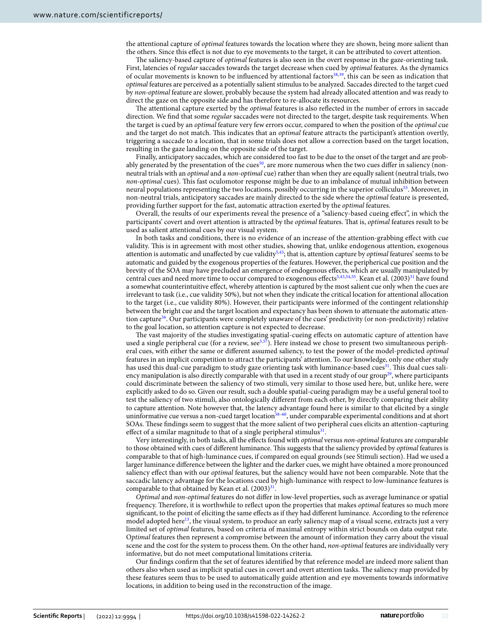the attentional capture of *optimal* features towards the location where they are shown, being more salient than the others. Since this efect is not due to eye movements to the target, it can be attributed to covert attention.

The saliency-based capture of *optimal* features is also seen in the overt response in the gaze-orienting task. First, latencies of *regular* saccades towards the target decrease when cued by *optimal* features. As the dynamics of ocular movements is known to be infuenced by attentional factors[38,](#page-10-30)[39,](#page-10-33) this can be seen as indication that *optimal* features are perceived as a potentially salient stimulus to be analyzed. Saccades directed to the target cued by *non-optimal* feature are slower, probably because the system had already allocated attention and was ready to direct the gaze on the opposite side and has therefore to re-allocate its resources.

The attentional capture exerted by the *optimal* features is also reflected in the number of errors in saccade direction. We fnd that some *regular* saccades were not directed to the target, despite task requirements. When the target is cued by an *optimal* feature very few errors occur, compared to when the position of the *optimal* cue and the target do not match. Tis indicates that an *optimal* feature attracts the participant's attention overtly, triggering a saccade to a location, that in some trials does not allow a correction based on the target location, resulting in the gaze landing on the opposite side of the target.

Finally, anticipatory saccades, which are considered too fast to be due to the onset of the target and are probably generated by the presentation of the cues<sup>50</sup>, are more numerous when the two cues differ in saliency (nonneutral trials with an *optimal* and a *non-optimal* cue) rather than when they are equally salient (neutral trials, two *non-optimal* cues). This fast oculomotor response might be due to an imbalance of mutual inhibition between neural populations representing the two locations, possibly occurring in the superior colliculu[s53.](#page-11-10) Moreover, in non-neutral trials, anticipatory saccades are mainly directed to the side where the *optimal* feature is presented, providing further support for the fast, automatic attraction exerted by the *optimal* features.

Overall, the results of our experiments reveal the presence of a "saliency-based cueing efect", in which the participants' covert and overt attention is attracted by the *optimal* features. Tat is, *optimal* features result to be used as salient attentional cues by our visual system.

In both tasks and conditions, there is no evidence of an increase of the attention-grabbing efect with cue validity. Tis is in agreement with most other studies, showing that, unlike endogenous attention, exogenous attention is automatic and unaffected by cue validity<sup>5,43</sup>; that is, attention capture by *optimal* features' seems to be automatic and guided by the exogenous properties of the features. However, the peripherical cue position and the brevity of the SOA may have precluded an emergence of endogenous efects, which are usually manipulated by central cues and need more time to occur compared to exogenous effects<sup>5[,43](#page-11-1)[,54](#page-11-11),55</sup>. Kean et al.  $(2003)^{31}$  $(2003)^{31}$  $(2003)^{31}$  have found a somewhat counterintuitive efect, whereby attention is captured by the most salient cue only when the cues are irrelevant to task (i.e., cue validity 50%), but not when they indicate the critical location for attentional allocation to the target (i.e., cue validity 80%). However, their participants were informed of the contingent relationship between the bright cue and the target location and expectancy has been shown to attenuate the automatic attention capture[56](#page-11-13). Our participants were completely unaware of the cues' predictivity (or non-predictivity) relative to the goal location, so attention capture is not expected to decrease.

The vast majority of the studies investigating spatial-cueing effects on automatic capture of attention have used a single peripheral cue (for a review,  $\sec^{5.57}$ ). Here instead we chose to present two simultaneous peripheral cues, with either the same or diferent assumed saliency, to test the power of the model-predicted *optimal* features in an implicit competition to attract the participants' attention. To our knowledge, only one other study has used this dual-cue paradigm to study gaze orienting task with luminance-based cues<sup>[31](#page-10-24)</sup>. This dual cues saliency manipulation is also directly comparable with that used in a recent study of our group<sup>29</sup>, where participants could discriminate between the saliency of two stimuli, very similar to those used here, but, unlike here, were explicitly asked to do so. Given our result, such a double spatial-cueing paradigm may be a useful general tool to test the saliency of two stimuli, also ontologically diferent from each other, by directly comparing their ability to capture attention. Note however that, the latency advantage found here is similar to that elicited by a single uninformative cue versus a non-cued target location<sup>[58](#page-11-15)–60</sup>, under comparable experimental conditions and at short SOAs. These findings seem to suggest that the more salient of two peripheral cues elicits an attention-capturing effect of a similar magnitude to that of a single peripheral stimulus $31$ .

Very interestingly, in both tasks, all the efects found with *optimal* versus *non-optimal* features are comparable to those obtained with cues of different luminance. This suggests that the saliency provided by *optimal* features is comparable to that of high-luminance cues, if compared on equal grounds (see Stimuli section). Had we used a larger luminance diference between the lighter and the darker cues, we might have obtained a more pronounced saliency efect than with our *optimal* features, but the saliency would have not been comparable. Note that the saccadic latency advantage for the locations cued by high-luminance with respect to low-luminance features is comparable to that obtained by Kean et al.  $(2003)^3$ .

*Optimal* and *non-optimal* features do not difer in low-level properties, such as average luminance or spatial frequency. Therefore, it is worthwhile to reflect upon the properties that makes *optimal* features so much more signifcant, to the point of eliciting the same efects as if they had diferent luminance. According to the reference model adopted here<sup>13</sup>, the visual system, to produce an early saliency map of a visual scene, extracts just a very limited set of *optimal* features*,* based on criteria of maximal entropy within strict bounds on data output rate. O*ptimal* features then represent a compromise between the amount of information they carry about the visual scene and the cost for the system to process them. On the other hand, *non-optimal* features are individually very informative, but do not meet computational limitations criteria.

Our fndings confrm that the set of features identifed by that reference model are indeed more salient than others also when used as implicit spatial cues in covert and overt attention tasks. The saliency map provided by these features seem thus to be used to automatically guide attention and eye movements towards informative locations, in addition to being used in the reconstruction of the image.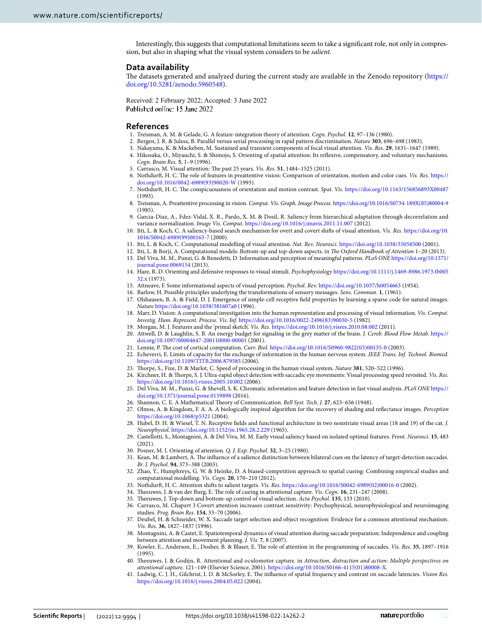Interestingly, this suggests that computational limitations seem to take a signifcant role, not only in compression, but also in shaping what the visual system considers to be *salient.*

#### **Data availability**

The datasets generated and analyzed during the current study are available in the Zenodo repository ([https://](https://doi.org/10.5281/zenodo.5960548) [doi.org/10.5281/zenodo.5960548](https://doi.org/10.5281/zenodo.5960548)).

Received: 2 February 2022; Accepted: 3 June 2022 Published online: 15 June 2022

#### **References**

- <span id="page-10-0"></span>1. Treisman, A. M. & Gelade, G. A feature-integration theory of attention. *Cogn. Psychol.* **12**, 97–136 (1980).
- 2. Bergen, J. R. & Julesz, B. Parallel versus serial processing in rapid pattern discrimination. *Nature* **303**, 696–698 (1983).
- 3. Nakayama, K. & Mackeben, M. Sustained and transient components of focal visual attention. *Vis. Res.* **29**, 1631–1647 (1989).
- <span id="page-10-1"></span>4. Hikosaka, O., Miyauchi, S. & Shimojo, S. Orienting of spatial attention: Its refexive, compensatory, and voluntary mechanisms. *Cogn. Brain Res.* **5**, 1–9 (1996).
- <span id="page-10-2"></span>5. Carrasco, M. Visual attention: The past 25 years. *Vis. Res.* 51, 1484-1525 (2011).
- <span id="page-10-3"></span>6. Nothdurf, H. C. Te role of features in preattentive vision: Comparison of orientation, motion and color cues. *Vis. Res.* [https://](https://doi.org/10.1016/0042-6989(93)90020-W) [doi.org/10.1016/0042-6989\(93\)90020-W](https://doi.org/10.1016/0042-6989(93)90020-W) (1993).
- 7. Nothdurf, H. C. Te conspicuousness of orientation and motion contrast. *Spat. Vis.* <https://doi.org/10.1163/156856893X00487> (1993).
- <span id="page-10-4"></span>8. Treisman, A. Preattentive processing in vision. *Comput. Vis. Graph. Image Process.* [https://doi.org/10.1016/S0734-189X\(85\)80004-9](https://doi.org/10.1016/S0734-189X(85)80004-9) (1985).
- <span id="page-10-5"></span>9. Garcia-Diaz, A., Fdez-Vidal, X. R., Pardo, X. M. & Dosil, R. Saliency from hierarchical adaptation through decorrelation and variance normalization. *Image Vis. Comput.* <https://doi.org/10.1016/j.imavis.2011.11.007> (2012).
- 10. Itti, L. & Koch, C. A saliency-based search mechanism for overt and covert shifs of visual attention. *Vis. Res.* [https://doi.org/10.](https://doi.org/10.1016/S0042-6989(99)00163-7) [1016/S0042-6989\(99\)00163-7](https://doi.org/10.1016/S0042-6989(99)00163-7) (2000).
- <span id="page-10-6"></span>11. Itti, L. & Koch, C. Computational modelling of visual attention. *Nat. Rev. Neurosci.* <https://doi.org/10.1038/35058500> (2001).
- <span id="page-10-7"></span>12. Itti, L. & Borji, A. Computational models: Bottom-up and top-down aspects. in *Te Oxford Handbook of Attention* 1–20 (2013).
- <span id="page-10-8"></span>13. Del Viva, M. M., Punzi, G. & Benedetti, D. Information and perception of meaningful patterns. *PLoS ONE* [https://doi.org/10.1371/](https://doi.org/10.1371/journal.pone.0069154) [journal.pone.0069154](https://doi.org/10.1371/journal.pone.0069154) (2013).
- <span id="page-10-9"></span>14. Hare, R. D. Orienting and defensive responses to visual stimuli. *Psychophysiology* [https://doi.org/10.1111/j.1469-8986.1973.tb005](https://doi.org/10.1111/j.1469-8986.1973.tb00532.x) [32.x](https://doi.org/10.1111/j.1469-8986.1973.tb00532.x) (1973).
- <span id="page-10-10"></span>15. Attneave, F. Some informational aspects of visual perception. *Psychol. Rev.* <https://doi.org/10.1037/h0054663> (1954).
- 16. Barlow, H. Possible principles underlying the transformations of sensory messages. *Sens. Commun.* **1**, (1961).
- <span id="page-10-11"></span>17. Olshausen, B. A. & Field, D. J. Emergence of simple-cell receptive feld properties by learning a sparse code for natural images. *Nature* <https://doi.org/10.1038/381607a0> (1996).
- <span id="page-10-12"></span>18. Marr, D. Vision: A computational investigation into the human representation and processing of visual information. *Vis. Comput. Investig. Hum. Represent. Process. Vis. Inf.* [https://doi.org/10.1016/0022-2496\(83\)90030-5](https://doi.org/10.1016/0022-2496(83)90030-5) (1982).
- <span id="page-10-13"></span>19. Morgan, M. J. Features and the 'primal sketch'. *Vis. Res.* <https://doi.org/10.1016/j.visres.2010.08.002> (2011).
- <span id="page-10-14"></span>20. Attwell, D. & Laughlin, S. B. An energy budget for signaling in the grey matter of the brain. *J. Cereb. Blood Flow Metab.* [https://](https://doi.org/10.1097/00004647-200110000-00001) [doi.org/10.1097/00004647-200110000-00001](https://doi.org/10.1097/00004647-200110000-00001) (2001).
- 21. Lennie, P. Te cost of cortical computation. *Curr. Biol.* [https://doi.org/10.1016/S0960-9822\(03\)00135-0](https://doi.org/10.1016/S0960-9822(03)00135-0) (2003).
- <span id="page-10-15"></span>22. Echeverri, E. Limits of capacity for the exchange of information in the human nervous system. *IEEE Trans. Inf. Technol. Biomed.* <https://doi.org/10.1109/TITB.2006.879585>(2006).
- <span id="page-10-16"></span>23. Torpe, S., Fize, D. & Marlot, C. Speed of processing in the human visual system. *Nature* **381**, 520–522 (1996).
- <span id="page-10-17"></span>24. Kirchner, H. & Torpe, S. J. Ultra-rapid object detection with saccadic eye movements: Visual processing speed revisited. *Vis. Res.* <https://doi.org/10.1016/j.visres.2005.10.002> (2006).
- <span id="page-10-18"></span>25. Del Viva, M. M., Punzi, G. & Shevell, S. K. Chromatic information and feature detection in fast visual analysis. *PLoS ONE* [https://](https://doi.org/10.1371/journal.pone.0159898) [doi.org/10.1371/journal.pone.0159898](https://doi.org/10.1371/journal.pone.0159898) (2016).
- <span id="page-10-19"></span>26. Shannon, C. E. A Mathematical Teory of Communication. *Bell Syst. Tech. J.* **27**, 623–656 (1948).
- <span id="page-10-20"></span>27. Olmos, A. & Kingdom, F. A. A. A biologically inspired algorithm for the recovery of shading and refectance images. *Perception* <https://doi.org/10.1068/p5321> (2004).
- <span id="page-10-21"></span>28. Hubel, D. H. & Wiesel, T. N. Receptive felds and functional architecture in two nonstriate visual areas (18 and 19) of the cat. *J. Neurophysiol.* <https://doi.org/10.1152/jn.1965.28.2.229> (1965).
- <span id="page-10-22"></span>29. Castellotti, S., Montagnini, A. & Del Viva, M. M. Early visual saliency based on isolated optimal features. *Front. Neurosci.* **15**, 483 (2021).
- <span id="page-10-23"></span>30. Posner, M. I. Orienting of attention. *Q. J. Exp. Psychol.* **32**, 3–25 (1980).
- <span id="page-10-24"></span>31. Kean, M. & Lambert, A. Te infuence of a salience distinction between bilateral cues on the latency of target-detection saccades. *Br. J. Psychol.* **94**, 373–388 (2003).
- <span id="page-10-25"></span>32. Zhao, Y., Humphreys, G. W. & Heinke, D. A biased-competition approach to spatial cueing: Combining empirical studies and computational modelling. *Vis. Cogn.* **20**, 170–210 (2012).
- <span id="page-10-26"></span>33. Nothdurf, H. C. Attention shifs to salient targets. *Vis. Res.* [https://doi.org/10.1016/S0042-6989\(02\)00016-0](https://doi.org/10.1016/S0042-6989(02)00016-0) (2002).
- 34. Theeuwes, J. & van der Burg, E. The role of cueing in attentional capture. *Vis. Cogn.* 16, 231-247 (2008).
- <span id="page-10-27"></span>35. Teeuwes, J. Top-down and bottom-up control of visual selection. *Acta Psychol.* **135**, 133 (2010).
- <span id="page-10-28"></span>36. Carrasco, M. Chapert 3 Covert attention increases contrast sensitivity: Psychophysical, neurophysiological and neuroimaging studies. *Prog. Brain Res.* **154**, 33–70 (2006).
- <span id="page-10-29"></span>37. Deubel, H. & Schneider, W. X. Saccade target selection and object recognition: Evidence for a common attentional mechanism. *Vis. Res.* **36**, 1827–1837 (1996).
- <span id="page-10-30"></span>38. Montagnini, A. & Castet, E. Spatiotemporal dynamics of visual attention during saccade preparation: Independence and coupling between attention and movement planning. *J. Vis.* **7**, 8 (2007).
- <span id="page-10-33"></span>39. Kowler, E., Anderson, E., Dosher, B. & Blaser, E. Te role of attention in the programming of saccades. *Vis. Res.* **35**, 1897–1916 (1995).
- <span id="page-10-31"></span>40. Teeuwes, J. & Godijn, R. Attentional and oculomotor capture. in *Attraction, distraction and action: Multiple perspectives on attentional capture.* 121–149 (Elsevier Science, 2001). [https://doi.org/10.1016/S0166-4115\(01\)80008-X](https://doi.org/10.1016/S0166-4115(01)80008-X).
- <span id="page-10-32"></span>41. Ludwig, C. J. H., Gilchrist, I. D. & McSorley, E. Te infuence of spatial frequency and contrast on saccade latencies. *Vision Res.* <https://doi.org/10.1016/j.visres.2004.05.022> (2004).